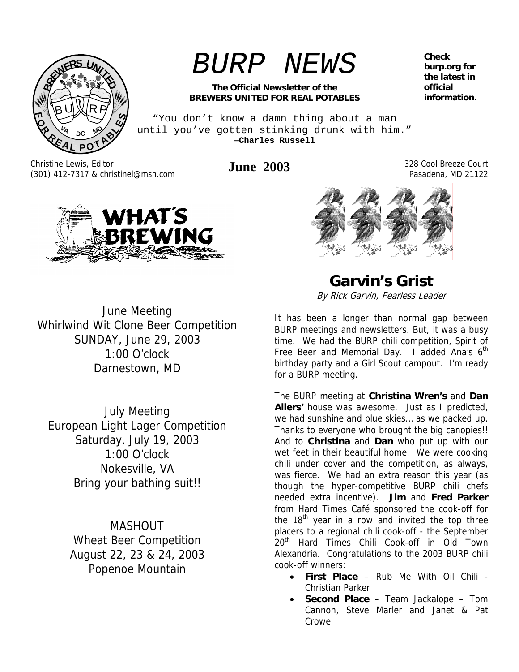

# *BURP NEWS*

#### **The Official Newsletter of the BREWERS UNITED FOR REAL POTABLES**

"You don't know a damn thing about a man until you've gotten stinking drunk with him." **—Charles Russell**

Christine Lewis, Editor (301) 412-7317 & christinel@msn.com **June 2003** 328 Cool Breeze Court



June Meeting Whirlwind Wit Clone Beer Competition SUNDAY, June 29, 2003 1:00 O'clock Darnestown, MD

July Meeting European Light Lager Competition Saturday, July 19, 2003 1:00 O'clock Nokesville, VA Bring your bathing suit!!

> MASHOUT Wheat Beer Competition August 22, 23 & 24, 2003 Popenoe Mountain

Pasadena, MD 21122



**Garvin's Grist**  By Rick Garvin, Fearless Leader

It has been a longer than normal gap between BURP meetings and newsletters. But, it was a busy time. We had the BURP chili competition, Spirit of Free Beer and Memorial Day. I added Ana's  $6<sup>th</sup>$ birthday party and a Girl Scout campout. I'm ready for a BURP meeting.

The BURP meeting at **Christina Wren's** and **Dan Allers'** house was awesome. Just as I predicted, we had sunshine and blue skies… as we packed up. Thanks to everyone who brought the big canopies!! And to **Christina** and **Dan** who put up with our wet feet in their beautiful home. We were cooking chili under cover and the competition, as always, was fierce. We had an extra reason this year (as though the hyper-competitive BURP chili chefs needed extra incentive). **Jim** and **Fred Parker** from Hard Times Café sponsored the cook-off for the  $18<sup>th</sup>$  year in a row and invited the top three placers to a regional chili cook-off - the September 20<sup>th</sup> Hard Times Chili Cook-off in Old Town Alexandria. Congratulations to the 2003 BURP chili cook-off winners:

- **First Place** Rub Me With Oil Chili Christian Parker
- **Second Place** Team Jackalope Tom Cannon, Steve Marler and Janet & Pat **Crowe**

**Check burp.org for the latest in official information.**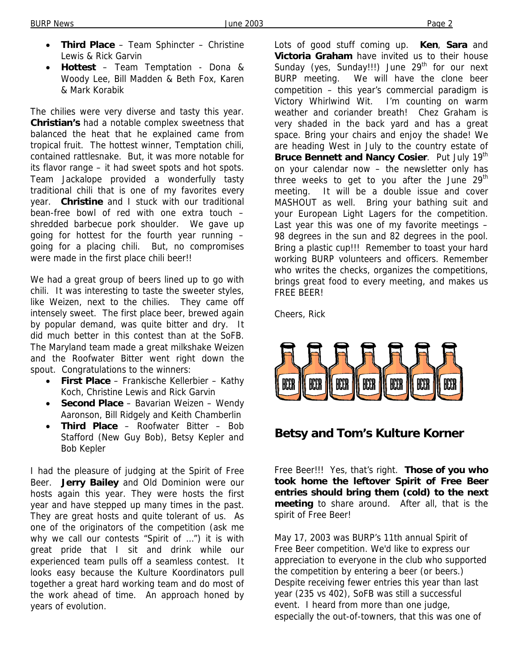- **Third Place** Team Sphincter Christine Lewis & Rick Garvin
- **Hottest** Team Temptation Dona & Woody Lee, Bill Madden & Beth Fox, Karen & Mark Korabik

The chilies were very diverse and tasty this year. **Christian's** had a notable complex sweetness that balanced the heat that he explained came from tropical fruit. The hottest winner, Temptation chili, contained rattlesnake. But, it was more notable for its flavor range – it had sweet spots and hot spots. Team Jackalope provided a wonderfully tasty traditional chili that is one of my favorites every year. **Christine** and I stuck with our traditional bean-free bowl of red with one extra touch – shredded barbecue pork shoulder. We gave up going for hottest for the fourth year running – going for a placing chili. But, no compromises were made in the first place chili beer!!

We had a great group of beers lined up to go with chili. It was interesting to taste the sweeter styles, like Weizen, next to the chilies. They came off intensely sweet. The first place beer, brewed again by popular demand, was quite bitter and dry. It did much better in this contest than at the SoFB. The Maryland team made a great milkshake Weizen and the Roofwater Bitter went right down the spout. Congratulations to the winners:

- **First Place** Frankische Kellerbier Kathy Koch, Christine Lewis and Rick Garvin
- **Second Place** Bavarian Weizen Wendy Aaronson, Bill Ridgely and Keith Chamberlin
- **Third Place** Roofwater Bitter Bob Stafford (New Guy Bob), Betsy Kepler and Bob Kepler

I had the pleasure of judging at the Spirit of Free Beer. **Jerry Bailey** and Old Dominion were our hosts again this year. They were hosts the first year and have stepped up many times in the past. They are great hosts and quite tolerant of us. As one of the originators of the competition (ask me why we call our contests "Spirit of …") it is with great pride that I sit and drink while our experienced team pulls off a seamless contest. It looks easy because the Kulture Koordinators pull together a great hard working team and do most of the work ahead of time. An approach honed by years of evolution.

Lots of good stuff coming up. **Ken**, **Sara** and **Victoria Graham** have invited us to their house Sunday (yes, Sunday!!!) June  $29<sup>th</sup>$  for our next BURP meeting. We will have the clone beer competition – this year's commercial paradigm is Victory Whirlwind Wit. I'm counting on warm weather and coriander breath! Chez Graham is very shaded in the back yard and has a great space. Bring your chairs and enjoy the shade! We are heading West in July to the country estate of **Bruce Bennett and Nancy Cosier.** Put July 19th on your calendar now – the newsletter only has three weeks to get to you after the June 29th meeting. It will be a double issue and cover MASHOUT as well. Bring your bathing suit and your European Light Lagers for the competition. Last year this was one of my favorite meetings – 98 degrees in the sun and 82 degrees in the pool. Bring a plastic cup!!! Remember to toast your hard working BURP volunteers and officers. Remember who writes the checks, organizes the competitions, brings great food to every meeting, and makes us FREE BEER!

Cheers, Rick



### **Betsy and Tom's Kulture Korner**

Free Beer!!! Yes, that's right. **Those of you who took home the leftover Spirit of Free Beer entries should bring them (cold) to the next meeting** to share around. After all, that is the spirit of Free Beer!

May 17, 2003 was BURP's 11th annual Spirit of Free Beer competition. We'd like to express our appreciation to everyone in the club who supported the competition by entering a beer (or beers.) Despite receiving fewer entries this year than last year (235 vs 402), SoFB was still a successful event. I heard from more than one judge, especially the out-of-towners, that this was one of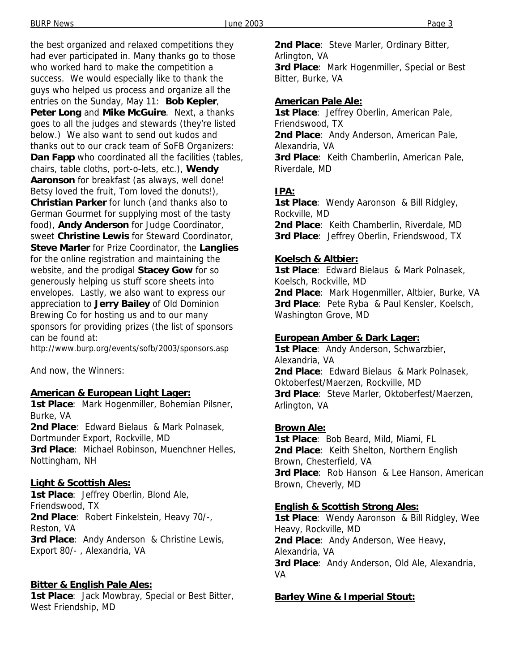the best organized and relaxed competitions they had ever participated in. Many thanks go to those who worked hard to make the competition a success. We would especially like to thank the guys who helped us process and organize all the entries on the Sunday, May 11: **Bob Kepler**, **Peter Long** and **Mike McGuire**. Next, a thanks goes to all the judges and stewards (they're listed below.) We also want to send out kudos and thanks out to our crack team of SoFB Organizers: **Dan Fapp** who coordinated all the facilities (tables, chairs, table cloths, port-o-lets, etc.), **Wendy Aaronson** for breakfast (as always, well done! Betsy loved the fruit, Tom loved the donuts!), **Christian Parker** for lunch (and thanks also to German Gourmet for supplying most of the tasty food), **Andy Anderson** for Judge Coordinator, sweet **Christine Lewis** for Steward Coordinator, **Steve Marler** for Prize Coordinator, the **Langlies** for the online registration and maintaining the website, and the prodigal **Stacey Gow** for so generously helping us stuff score sheets into envelopes. Lastly, we also want to express our appreciation to **Jerry Bailey** of Old Dominion

Brewing Co for hosting us and to our many sponsors for providing prizes (the list of sponsors can be found at:

http://www.burp.org/events/sofb/2003/sponsors.asp

And now, the Winners:

#### **American & European Light Lager:**

**1st Place**: Mark Hogenmiller, Bohemian Pilsner, Burke, VA

**2nd Place**: Edward Bielaus & Mark Polnasek, Dortmunder Export, Rockville, MD **3rd Place**: Michael Robinson, Muenchner Helles, Nottingham, NH

#### **Light & Scottish Ales:**

**1st Place**: Jeffrey Oberlin, Blond Ale, Friendswood, TX **2nd Place**: Robert Finkelstein, Heavy 70/-, Reston, VA **3rd Place**: Andy Anderson & Christine Lewis, Export 80/- , Alexandria, VA

#### **Bitter & English Pale Ales:**

**1st Place**: Jack Mowbray, Special or Best Bitter, West Friendship, MD

**2nd Place**: Steve Marler, Ordinary Bitter, Arlington, VA **3rd Place**: Mark Hogenmiller, Special or Best Bitter, Burke, VA

#### **American Pale Ale:**

**1st Place**: Jeffrey Oberlin, American Pale, Friendswood, TX **2nd Place**: Andy Anderson, American Pale, Alexandria, VA **3rd Place**: Keith Chamberlin, American Pale, Riverdale, MD

#### **IPA:**

**1st Place**: Wendy Aaronson & Bill Ridgley, Rockville, MD **2nd Place**: Keith Chamberlin, Riverdale, MD **3rd Place**: Jeffrey Oberlin, Friendswood, TX

#### **Koelsch & Altbier:**

**1st Place**: Edward Bielaus & Mark Polnasek, Koelsch, Rockville, MD **2nd Place**: Mark Hogenmiller, Altbier, Burke, VA **3rd Place**: Pete Ryba & Paul Kensler, Koelsch, Washington Grove, MD

#### **European Amber & Dark Lager:**

**1st Place**: Andy Anderson, Schwarzbier, Alexandria, VA **2nd Place**: Edward Bielaus & Mark Polnasek, Oktoberfest/Maerzen, Rockville, MD **3rd Place**: Steve Marler, Oktoberfest/Maerzen, Arlington, VA

#### **Brown Ale:**

**1st Place**: Bob Beard, Mild, Miami, FL **2nd Place**: Keith Shelton, Northern English Brown, Chesterfield, VA **3rd Place**: Rob Hanson & Lee Hanson, American Brown, Cheverly, MD

#### **English & Scottish Strong Ales:**

**1st Place**: Wendy Aaronson & Bill Ridgley, Wee Heavy, Rockville, MD **2nd Place**: Andy Anderson, Wee Heavy, Alexandria, VA **3rd Place**: Andy Anderson, Old Ale, Alexandria, VA

#### **Barley Wine & Imperial Stout:**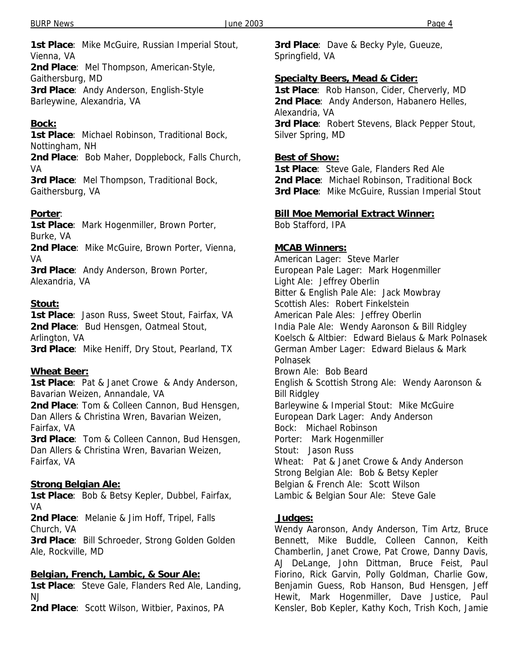**1st Place**: Mike McGuire, Russian Imperial Stout, Vienna, VA

**2nd Place**: Mel Thompson, American-Style, Gaithersburg, MD **3rd Place**: Andy Anderson, English-Style Barleywine, Alexandria, VA

#### **Bock:**

**1st Place**: Michael Robinson, Traditional Bock, Nottingham, NH

**2nd Place**: Bob Maher, Dopplebock, Falls Church, VA

**3rd Place**: Mel Thompson, Traditional Bock, Gaithersburg, VA

#### **Porter**:

**1st Place**: Mark Hogenmiller, Brown Porter, Burke, VA

**2nd Place**: Mike McGuire, Brown Porter, Vienna, VA

**3rd Place**: Andy Anderson, Brown Porter, Alexandria, VA

#### **Stout:**

**1st Place**: Jason Russ, Sweet Stout, Fairfax, VA **2nd Place**: Bud Hensgen, Oatmeal Stout, Arlington, VA

**3rd Place**: Mike Heniff, Dry Stout, Pearland, TX

#### **Wheat Beer:**

**1st Place**: Pat & Janet Crowe & Andy Anderson, Bavarian Weizen, Annandale, VA

**2nd Place**: Tom & Colleen Cannon, Bud Hensgen, Dan Allers & Christina Wren, Bavarian Weizen, Fairfax, VA

**3rd Place**: Tom & Colleen Cannon, Bud Hensgen, Dan Allers & Christina Wren, Bavarian Weizen, Fairfax, VA

#### **Strong Belgian Ale:**

**1st Place**: Bob & Betsy Kepler, Dubbel, Fairfax, VA

**2nd Place**: Melanie & Jim Hoff, Tripel, Falls Church, VA

**3rd Place**: Bill Schroeder, Strong Golden Golden Ale, Rockville, MD

#### **Belgian, French, Lambic, & Sour Ale:**

**1st Place**: Steve Gale, Flanders Red Ale, Landing, NJ

**2nd Place**: Scott Wilson, Witbier, Paxinos, PA

**3rd Place**: Dave & Becky Pyle, Gueuze, Springfield, VA

#### **Specialty Beers, Mead & Cider:**

**1st Place**: Rob Hanson, Cider, Cherverly, MD **2nd Place**: Andy Anderson, Habanero Helles, Alexandria, VA **3rd Place**: Robert Stevens, Black Pepper Stout, Silver Spring, MD

#### **Best of Show:**

**1st Place**: Steve Gale, Flanders Red Ale **2nd Place**: Michael Robinson, Traditional Bock **3rd Place**: Mike McGuire, Russian Imperial Stout

#### **Bill Moe Memorial Extract Winner:**

Bob Stafford, IPA

#### **MCAB Winners:**

American Lager: Steve Marler European Pale Lager: Mark Hogenmiller Light Ale: Jeffrey Oberlin Bitter & English Pale Ale: Jack Mowbray Scottish Ales: Robert Finkelstein American Pale Ales: Jeffrey Oberlin India Pale Ale: Wendy Aaronson & Bill Ridgley Koelsch & Altbier: Edward Bielaus & Mark Polnasek German Amber Lager: Edward Bielaus & Mark Polnasek Brown Ale: Bob Beard English & Scottish Strong Ale: Wendy Aaronson & Bill Ridgley Barleywine & Imperial Stout: Mike McGuire European Dark Lager: Andy Anderson Bock: Michael Robinson Porter: Mark Hogenmiller Stout: Jason Russ Wheat: Pat & Janet Crowe & Andy Anderson Strong Belgian Ale: Bob & Betsy Kepler Belgian & French Ale: Scott Wilson Lambic & Belgian Sour Ale: Steve Gale

#### **Judges:**

Wendy Aaronson, Andy Anderson, Tim Artz, Bruce Bennett, Mike Buddle, Colleen Cannon, Keith Chamberlin, Janet Crowe, Pat Crowe, Danny Davis, AJ DeLange, John Dittman, Bruce Feist, Paul Fiorino, Rick Garvin, Polly Goldman, Charlie Gow, Benjamin Guess, Rob Hanson, Bud Hensgen, Jeff Hewit, Mark Hogenmiller, Dave Justice, Paul Kensler, Bob Kepler, Kathy Koch, Trish Koch, Jamie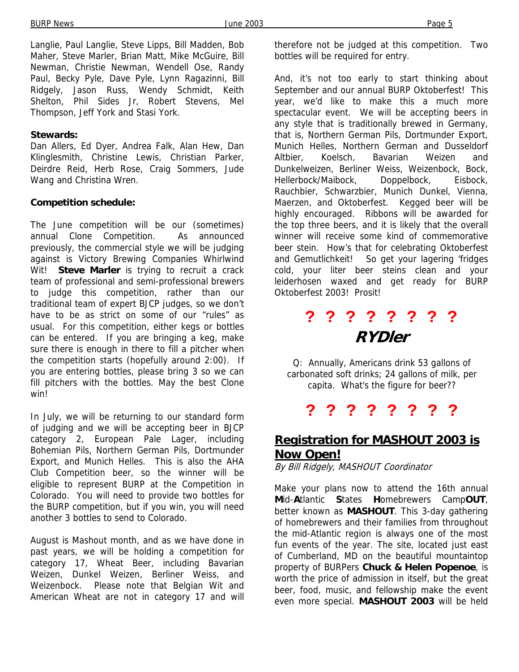Langlie, Paul Langlie, Steve Lipps, Bill Madden, Bob Maher, Steve Marler, Brian Matt, Mike McGuire, Bill Newman, Christie Newman, Wendell Ose, Randy Paul, Becky Pyle, Dave Pyle, Lynn Ragazinni, Bill Ridgely, Jason Russ, Wendy Schmidt, Keith Shelton, Phil Sides Jr, Robert Stevens, Mel Thompson, Jeff York and Stasi York.

#### **Stewards:**

Dan Allers, Ed Dyer, Andrea Falk, Alan Hew, Dan Klinglesmith, Christine Lewis, Christian Parker, Deirdre Reid, Herb Rose, Craig Sommers, Jude Wang and Christina Wren.

#### **Competition schedule:**

The June competition will be our (sometimes) annual Clone Competition. As announced previously, the commercial style we will be judging against is Victory Brewing Companies Whirlwind Wit! **Steve Marler** is trying to recruit a crack team of professional and semi-professional brewers to judge this competition, rather than our traditional team of expert BJCP judges, so we don't have to be as strict on some of our "rules" as usual. For this competition, either kegs or bottles can be entered. If you are bringing a keg, make sure there is enough in there to fill a pitcher when the competition starts (hopefully around 2:00). If you are entering bottles, please bring 3 so we can fill pitchers with the bottles. May the best Clone win!

In July, we will be returning to our standard form of judging and we will be accepting beer in BJCP category 2, European Pale Lager, including Bohemian Pils, Northern German Pils, Dortmunder Export, and Munich Helles. This is also the AHA Club Competition beer, so the winner will be eligible to represent BURP at the Competition in Colorado. You will need to provide two bottles for the BURP competition, but if you win, you will need another 3 bottles to send to Colorado.

August is Mashout month, and as we have done in past years, we will be holding a competition for category 17, Wheat Beer, including Bavarian Weizen, Dunkel Weizen, Berliner Weiss, and Weizenbock. Please note that Belgian Wit and American Wheat are not in category 17 and will therefore not be judged at this competition. Two bottles will be required for entry.

And, it's not too early to start thinking about September and our annual BURP Oktoberfest! This year, we'd like to make this a much more spectacular event. We will be accepting beers in any style that is traditionally brewed in Germany, that is, Northern German Pils, Dortmunder Export, Munich Helles, Northern German and Dusseldorf Altbier, Koelsch, Bavarian Weizen and Dunkelweizen, Berliner Weiss, Weizenbock, Bock, Hellerbock/Maibock, Doppelbock, Eisbock, Rauchbier, Schwarzbier, Munich Dunkel, Vienna, Maerzen, and Oktoberfest. Kegged beer will be highly encouraged. Ribbons will be awarded for the top three beers, and it is likely that the overall winner will receive some kind of commemorative beer stein. How's that for celebrating Oktoberfest and Gemutlichkeit! So get your lagering 'fridges cold, your liter beer steins clean and your leiderhosen waxed and get ready for BURP Oktoberfest 2003! Prosit!

# **? ? ? ? ? ? ? ? RYDler**

Q: Annually, Americans drink 53 gallons of carbonated soft drinks; 24 gallons of milk, per capita. What's the figure for beer??

**? ? ? ? ? ? ? ?** 

### **Registration for MASHOUT 2003 is Now Open!**

By Bill Ridgely, MASHOUT Coordinator

Make your plans now to attend the 16th annual **M**id-**A**tlantic **S**tates **H**omebrewers Camp**OUT**, better known as **MASHOUT**. This 3-day gathering of homebrewers and their families from throughout the mid-Atlantic region is always one of the most fun events of the year. The site, located just east of Cumberland, MD on the beautiful mountaintop property of BURPers **Chuck & Helen Popenoe**, is worth the price of admission in itself, but the great beer, food, music, and fellowship make the event even more special. **MASHOUT 2003** will be held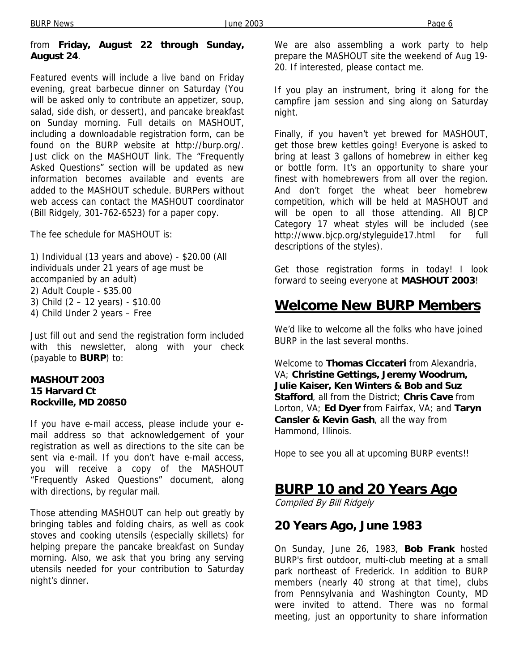#### from **Friday, August 22 through Sunday, August 24**.

Featured events will include a live band on Friday evening, great barbecue dinner on Saturday (You will be asked only to contribute an appetizer, soup, salad, side dish, or dessert), and pancake breakfast on Sunday morning. Full details on MASHOUT, including a downloadable registration form, can be found on the BURP website at http://burp.org/. Just click on the MASHOUT link. The "Frequently Asked Questions" section will be updated as new information becomes available and events are added to the MASHOUT schedule. BURPers without web access can contact the MASHOUT coordinator (Bill Ridgely, 301-762-6523) for a paper copy.

The fee schedule for MASHOUT is:

1) Individual (13 years and above) - \$20.00 (All individuals under 21 years of age must be accompanied by an adult) 2) Adult Couple - \$35.00 3) Child (2 – 12 years) - \$10.00 4) Child Under 2 years – Free

Just fill out and send the registration form included with this newsletter, along with your check (payable to **BURP**) to:

#### **MASHOUT 2003 15 Harvard Ct Rockville, MD 20850**

If you have e-mail access, please include your email address so that acknowledgement of your registration as well as directions to the site can be sent via e-mail. If you don't have e-mail access, you will receive a copy of the MASHOUT "Frequently Asked Questions" document, along with directions, by regular mail.

Those attending MASHOUT can help out greatly by bringing tables and folding chairs, as well as cook stoves and cooking utensils (especially skillets) for helping prepare the pancake breakfast on Sunday morning. Also, we ask that you bring any serving utensils needed for your contribution to Saturday night's dinner.

We are also assembling a work party to help prepare the MASHOUT site the weekend of Aug 19- 20. If interested, please contact me.

If you play an instrument, bring it along for the campfire jam session and sing along on Saturday night.

Finally, if you haven't yet brewed for MASHOUT, get those brew kettles going! Everyone is asked to bring at least 3 gallons of homebrew in either keg or bottle form. It's an opportunity to share your finest with homebrewers from all over the region. And don't forget the wheat beer homebrew competition, which will be held at MASHOUT and will be open to all those attending. All BJCP Category 17 wheat styles will be included (see http://www.bjcp.org/styleguide17.html for full descriptions of the styles).

Get those registration forms in today! I look forward to seeing everyone at **MASHOUT 2003**!

# **Welcome New BURP Members**

We'd like to welcome all the folks who have joined BURP in the last several months.

Welcome to **Thomas Ciccateri** from Alexandria, VA; **Christine Gettings, Jeremy Woodrum, Julie Kaiser, Ken Winters & Bob and Suz Stafford**, all from the District; **Chris Cave** from Lorton, VA; **Ed Dyer** from Fairfax, VA; and **Taryn Cansler & Kevin Gash**, all the way from Hammond, Illinois.

Hope to see you all at upcoming BURP events!!

# **BURP 10 and 20 Years Ago**

Compiled By Bill Ridgely

### **20 Years Ago, June 1983**

On Sunday, June 26, 1983, **Bob Frank** hosted BURP's first outdoor, multi-club meeting at a small park northeast of Frederick. In addition to BURP members (nearly 40 strong at that time), clubs from Pennsylvania and Washington County, MD were invited to attend. There was no formal meeting, just an opportunity to share information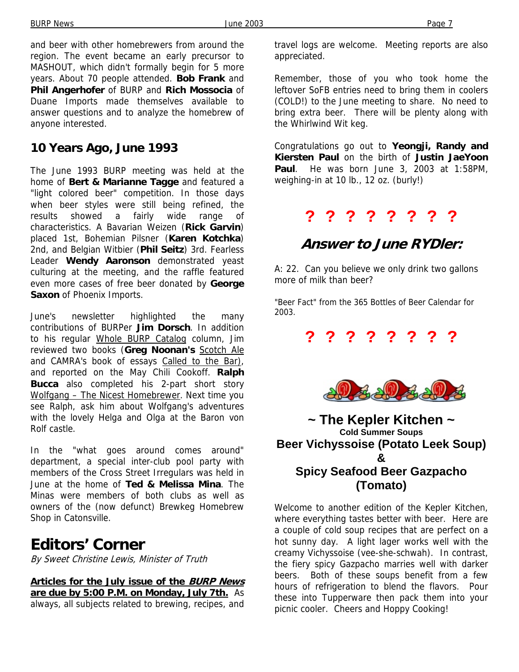and beer with other homebrewers from around the region. The event became an early precursor to MASHOUT, which didn't formally begin for 5 more years. About 70 people attended. **Bob Frank** and **Phil Angerhofer** of BURP and **Rich Mossocia** of Duane Imports made themselves available to answer questions and to analyze the homebrew of anyone interested.

### **10 Years Ago, June 1993**

The June 1993 BURP meeting was held at the home of **Bert & Marianne Tagge** and featured a "light colored beer" competition. In those days when beer styles were still being refined, the results showed a fairly wide range of characteristics. A Bavarian Weizen (**Rick Garvin**) placed 1st, Bohemian Pilsner (**Karen Kotchka**) 2nd, and Belgian Witbier (**Phil Seitz**) 3rd. Fearless Leader **Wendy Aaronson** demonstrated yeast culturing at the meeting, and the raffle featured even more cases of free beer donated by **George Saxon** of Phoenix Imports.

June's newsletter highlighted the many contributions of BURPer **Jim Dorsch**. In addition to his regular Whole BURP Catalog column, Jim reviewed two books (**Greg Noonan's** Scotch Ale and CAMRA's book of essays Called to the Bar), and reported on the May Chili Cookoff. **Ralph Bucca** also completed his 2-part short story Wolfgang – The Nicest Homebrewer. Next time you see Ralph, ask him about Wolfgang's adventures with the lovely Helga and Olga at the Baron von Rolf castle.

In the "what goes around comes around" department, a special inter-club pool party with members of the Cross Street Irregulars was held in June at the home of **Ted & Melissa Mina**. The Minas were members of both clubs as well as owners of the (now defunct) Brewkeg Homebrew Shop in Catonsville.

# **Editors' Corner**

By Sweet Christine Lewis, Minister of Truth

**Articles for the July issue of the BURP News are due by 5:00 P.M. on Monday, July 7th.** As always, all subjects related to brewing, recipes, and travel logs are welcome. Meeting reports are also appreciated.

Remember, those of you who took home the leftover SoFB entries need to bring them in coolers (COLD!) to the June meeting to share. No need to bring extra beer. There will be plenty along with the Whirlwind Wit keg.

Congratulations go out to **Yeongji, Randy and Kiersten Paul** on the birth of **Justin JaeYoon Paul**. He was born June 3, 2003 at 1:58PM, weighing-in at 10 lb., 12 oz. (burly!)

# **? ? ? ? ? ? ? ?**

# **Answer to June RYDler:**

A: 22. Can you believe we only drink two gallons more of milk than beer?

"Beer Fact" from the 365 Bottles of Beer Calendar for 2003.

**? ? ? ? ? ? ? ?** 



### **~ The Kepler Kitchen ~ Cold Summer Soups Beer Vichyssoise (Potato Leek Soup) & Spicy Seafood Beer Gazpacho (Tomato)**

Welcome to another edition of the Kepler Kitchen, where everything tastes better with beer. Here are a couple of cold soup recipes that are perfect on a hot sunny day. A light lager works well with the creamy Vichyssoise (vee-she-schwah). In contrast, the fiery spicy Gazpacho marries well with darker beers. Both of these soups benefit from a few hours of refrigeration to blend the flavors. Pour these into Tupperware then pack them into your picnic cooler. Cheers and Hoppy Cooking!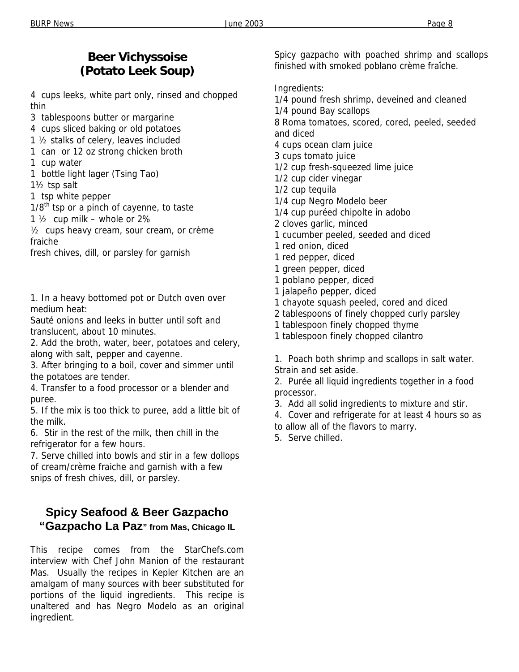# **Beer Vichyssoise (Potato Leek Soup)**

4 cups leeks, white part only, rinsed and chopped thin

3 tablespoons butter or margarine

4 cups sliced baking or old potatoes

1 ½ stalks of celery, leaves included

1 can or 12 oz strong chicken broth

1 cup water

1 bottle light lager (Tsing Tao)

1½ tsp salt

1 tsp white pepper

 $1/8<sup>th</sup>$  tsp or a pinch of cayenne, to taste

1  $\frac{1}{2}$  cup milk – whole or 2%

½ cups heavy cream, sour cream, or crème fraiche

fresh chives, dill, or parsley for garnish

1. In a heavy bottomed pot or Dutch oven over medium heat:

Sauté onions and leeks in butter until soft and translucent, about 10 minutes.

2. Add the broth, water, beer, potatoes and celery, along with salt, pepper and cayenne.

3. After bringing to a boil, cover and simmer until the potatoes are tender.

4. Transfer to a food processor or a blender and puree.

5. If the mix is too thick to puree, add a little bit of the milk.

6. Stir in the rest of the milk, then chill in the refrigerator for a few hours.

7. Serve chilled into bowls and stir in a few dollops of cream/crème fraiche and garnish with a few snips of fresh chives, dill, or parsley.

# **Spicy Seafood & Beer Gazpacho "Gazpacho La Paz" from Mas, Chicago IL**

This recipe comes from the StarChefs.com interview with Chef John Manion of the restaurant Mas. Usually the recipes in Kepler Kitchen are an amalgam of many sources with beer substituted for portions of the liquid ingredients. This recipe is unaltered and has Negro Modelo as an original ingredient.

Spicy gazpacho with poached shrimp and scallops finished with smoked poblano crème fraîche.

Ingredients:

1/4 pound fresh shrimp, deveined and cleaned 1/4 pound Bay scallops 8 Roma tomatoes, scored, cored, peeled, seeded and diced 4 cups ocean clam juice 3 cups tomato juice

1/2 cup fresh-squeezed lime juice

1/2 cup cider vinegar

1/2 cup tequila

1/4 cup Negro Modelo beer

1/4 cup puréed chipolte in adobo

2 cloves garlic, minced

1 cucumber peeled, seeded and diced

1 red onion, diced

1 red pepper, diced

1 green pepper, diced

1 poblano pepper, diced

1 jalapeño pepper, diced

1 chayote squash peeled, cored and diced

2 tablespoons of finely chopped curly parsley

1 tablespoon finely chopped thyme

1 tablespoon finely chopped cilantro

1. Poach both shrimp and scallops in salt water. Strain and set aside.

2. Purée all liquid ingredients together in a food processor.

3. Add all solid ingredients to mixture and stir.

4. Cover and refrigerate for at least 4 hours so as

to allow all of the flavors to marry.

5. Serve chilled.